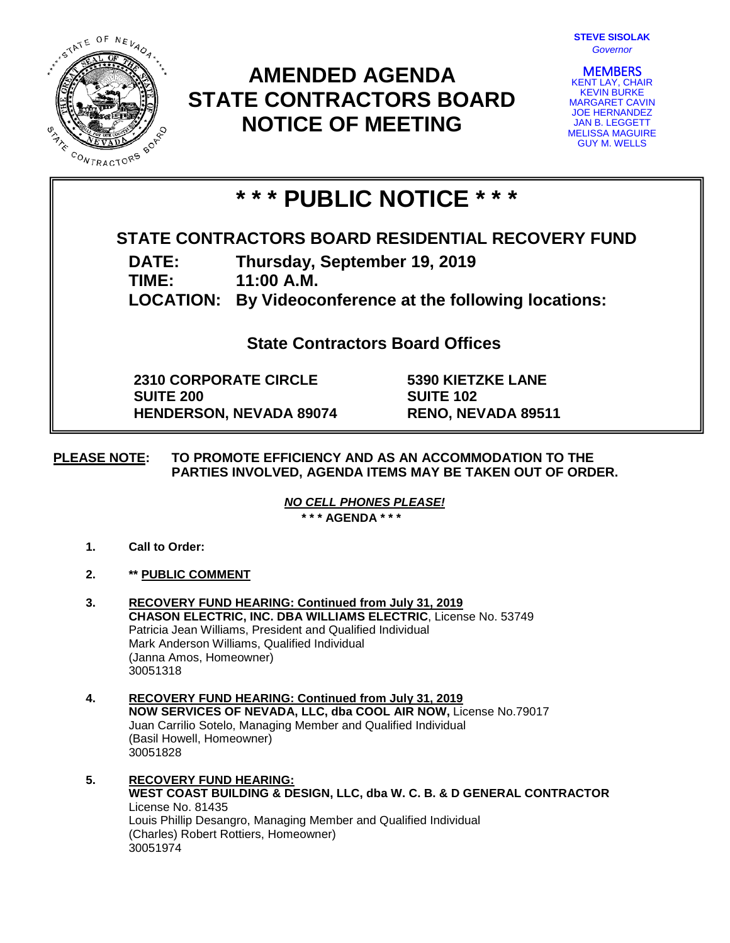

## **AMENDED AGENDA STATE CONTRACTORS BOARD NOTICE OF MEETING**

| <b>STEVE SISOLAK</b> |          |  |
|----------------------|----------|--|
|                      | Governor |  |

**MEMBERS**<br>KENT LAY, CHAIR KEVIN BURKE MARGARET CAVIN JOE HERNANDEZ JAN B. LEGGETT MELISSA MAGUIRE GUY M. WELLS

# **\* \* \* PUBLIC NOTICE \* \* \***

### **STATE CONTRACTORS BOARD RESIDENTIAL RECOVERY FUND**

**DATE: Thursday, September 19, 2019**

**TIME: 11:00 A.M.**

**LOCATION: By Videoconference at the following locations:**

**State Contractors Board Offices**

**2310 CORPORATE CIRCLE SUITE 200 HENDERSON, NEVADA 89074** **5390 KIETZKE LANE SUITE 102 RENO, NEVADA 89511**

#### **PLEASE NOTE: TO PROMOTE EFFICIENCY AND AS AN ACCOMMODATION TO THE PARTIES INVOLVED, AGENDA ITEMS MAY BE TAKEN OUT OF ORDER.**

*NO CELL PHONES PLEASE!* 

**\* \* \* AGENDA \* \* \***

- **1. Call to Order:**
- **2. \*\* PUBLIC COMMENT**
- **3. RECOVERY FUND HEARING: Continued from July 31, 2019 CHASON ELECTRIC, INC. DBA WILLIAMS ELECTRIC**, License No. 53749 Patricia Jean Williams, President and Qualified Individual Mark Anderson Williams, Qualified Individual (Janna Amos, Homeowner) 30051318
- **4. RECOVERY FUND HEARING: Continued from July 31, 2019 NOW SERVICES OF NEVADA, LLC, dba COOL AIR NOW,** License No.79017 Juan Carrilio Sotelo, Managing Member and Qualified Individual (Basil Howell, Homeowner) 30051828
- **5. RECOVERY FUND HEARING: WEST COAST BUILDING & DESIGN, LLC, dba W. C. B. & D GENERAL CONTRACTOR** License No. 81435 Louis Phillip Desangro, Managing Member and Qualified Individual (Charles) Robert Rottiers, Homeowner) 30051974